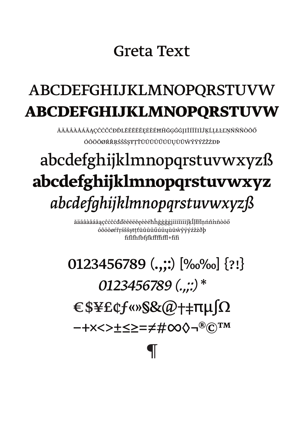## Greta Text

# ABCDEFGHIJKLMNOPQRSTUVW **ABCDEFGHIJKLMNOPQRSTUVW**

ĂÄĀÂÂÂÂÁĀĄÇĈĊČÓĐĎLĔÊĒĔĔĔĘĖĔĦĤĞĢĜĠĮIĪÍÎÏIÌĴĶĹĻŁĿĽŅŃŇÑÒŌŐ ÓÔÖÖØŔŘRŚŠŜŞŦŢŤŬÛŪŮŰŰŬŲÙŨŴŶŸÝŹŽŻĐÞ

# abcdefghijklmnopqrstuvwxyzß abcdefghijklmnopqrstuvwxyz abcdefghijklmnopgrstuvwxyzß

ăäāâàåáãąçĉċčćđďĕêēëĕęėèéħĥğģĝġįiīíîïiìĵķĺḷłŀľņńň'nñòōő óôöōøŕřŗśšŝşŧţťŭûūůűúüųùūŵŷÿýźžżðþ fiflfhfbfikffffiffl+fifi

0123456789  $($ .;;)\* E\$¥£¢f«»S&@+#TUSQ

ー+×<>±≤≥=≠#∞◊¬®©™

 $\P$